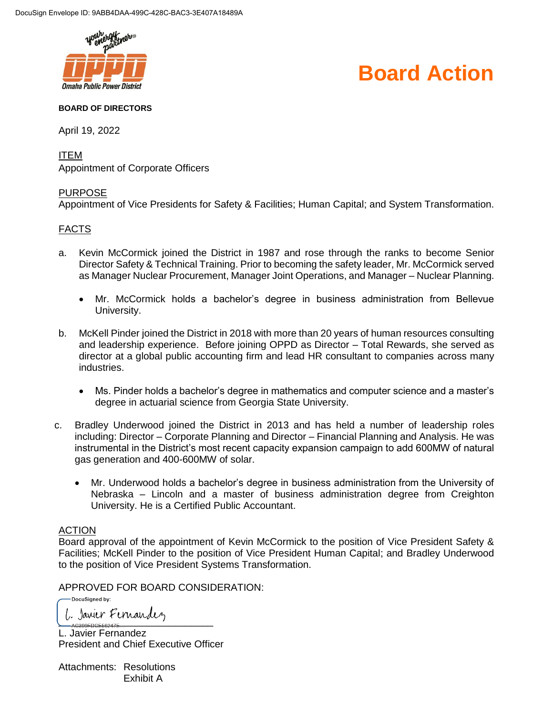

# **Board Action**

#### **BOARD OF DIRECTORS**

April 19, 2022

ITEM Appointment of Corporate Officers

### PURPOSE

Appointment of Vice Presidents for Safety & Facilities; Human Capital; and System Transformation.

## FACTS

- a. Kevin McCormick joined the District in 1987 and rose through the ranks to become Senior Director Safety & Technical Training. Prior to becoming the safety leader, Mr. McCormick served as Manager Nuclear Procurement, Manager Joint Operations, and Manager – Nuclear Planning.
	- Mr. McCormick holds a bachelor's degree in business administration from Bellevue University.
- b. McKell Pinder joined the District in 2018 with more than 20 years of human resources consulting and leadership experience. Before joining OPPD as Director – Total Rewards, she served as director at a global public accounting firm and lead HR consultant to companies across many industries.
	- Ms. Pinder holds a bachelor's degree in mathematics and computer science and a master's degree in actuarial science from Georgia State University.
- c. Bradley Underwood joined the District in 2013 and has held a number of leadership roles including: Director – Corporate Planning and Director – Financial Planning and Analysis. He was instrumental in the District's most recent capacity expansion campaign to add 600MW of natural gas generation and 400-600MW of solar.
	- Mr. Underwood holds a bachelor's degree in business administration from the University of Nebraska – Lincoln and a master of business administration degree from Creighton University. He is a Certified Public Accountant.

### ACTION

Board approval of the appointment of Kevin McCormick to the position of Vice President Safety & Facilities; McKell Pinder to the position of Vice President Human Capital; and Bradley Underwood to the position of Vice President Systems Transformation.

APPROVED FOR BOARD CONSIDERATION:

DocuSigned by: 1. Janier Fernandez

L. Javier Fernandez President and Chief Executive Officer

Attachments: Resolutions Exhibit A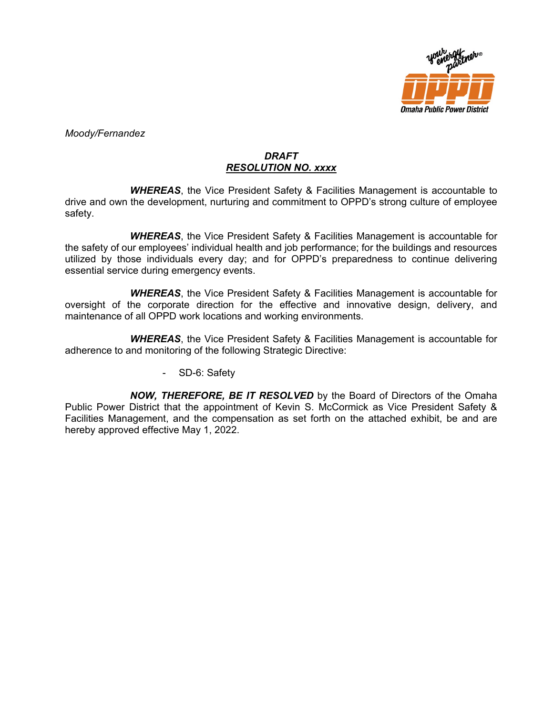

*Moody/Fernandez*

## *DRAFT RESOLUTION NO. xxxx*

*WHEREAS*, the Vice President Safety & Facilities Management is accountable to drive and own the development, nurturing and commitment to OPPD's strong culture of employee safety.

*WHEREAS*, the Vice President Safety & Facilities Management is accountable for the safety of our employees' individual health and job performance; for the buildings and resources utilized by those individuals every day; and for OPPD's preparedness to continue delivering essential service during emergency events.

*WHEREAS*, the Vice President Safety & Facilities Management is accountable for oversight of the corporate direction for the effective and innovative design, delivery, and maintenance of all OPPD work locations and working environments.

*WHEREAS*, the Vice President Safety & Facilities Management is accountable for adherence to and monitoring of the following Strategic Directive:

- SD-6: Safety

*NOW, THEREFORE, BE IT RESOLVED* by the Board of Directors of the Omaha Public Power District that the appointment of Kevin S. McCormick as Vice President Safety & Facilities Management, and the compensation as set forth on the attached exhibit, be and are hereby approved effective May 1, 2022.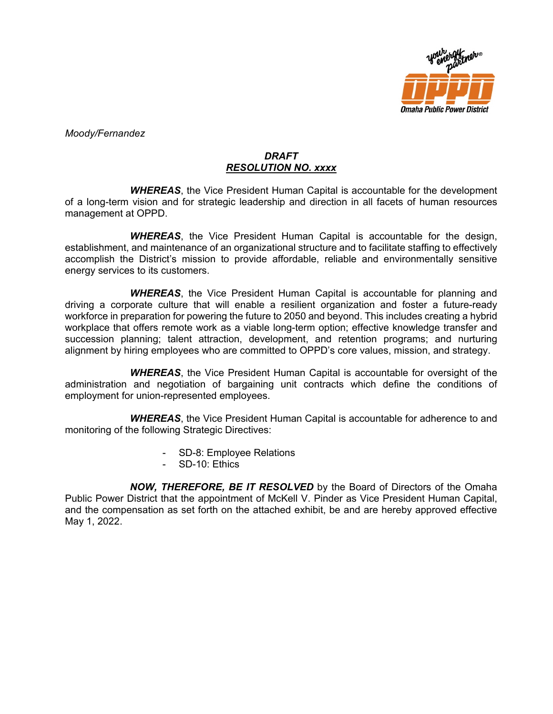

*Moody/Fernandez*

## *DRAFT RESOLUTION NO. xxxx*

*WHEREAS*, the Vice President Human Capital is accountable for the development of a long-term vision and for strategic leadership and direction in all facets of human resources management at OPPD.

*WHEREAS*, the Vice President Human Capital is accountable for the design, establishment, and maintenance of an organizational structure and to facilitate staffing to effectively accomplish the District's mission to provide affordable, reliable and environmentally sensitive energy services to its customers.

*WHEREAS*, the Vice President Human Capital is accountable for planning and driving a corporate culture that will enable a resilient organization and foster a future-ready workforce in preparation for powering the future to 2050 and beyond. This includes creating a hybrid workplace that offers remote work as a viable long-term option; effective knowledge transfer and succession planning; talent attraction, development, and retention programs; and nurturing alignment by hiring employees who are committed to OPPD's core values, mission, and strategy.

*WHEREAS*, the Vice President Human Capital is accountable for oversight of the administration and negotiation of bargaining unit contracts which define the conditions of employment for union-represented employees.

*WHEREAS*, the Vice President Human Capital is accountable for adherence to and monitoring of the following Strategic Directives:

- SD-8: Employee Relations
- SD-10: Ethics

*NOW, THEREFORE, BE IT RESOLVED* by the Board of Directors of the Omaha Public Power District that the appointment of McKell V. Pinder as Vice President Human Capital, and the compensation as set forth on the attached exhibit, be and are hereby approved effective May 1, 2022.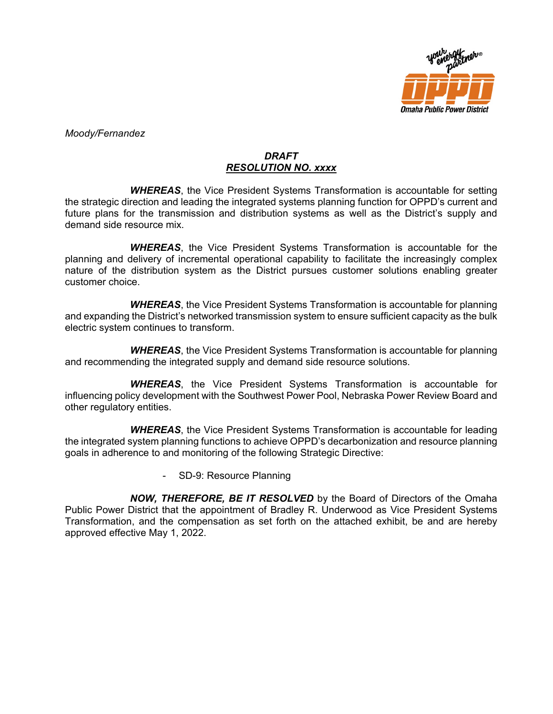

*Moody/Fernandez*

## *DRAFT RESOLUTION NO. xxxx*

*WHEREAS*, the Vice President Systems Transformation is accountable for setting the strategic direction and leading the integrated systems planning function for OPPD's current and future plans for the transmission and distribution systems as well as the District's supply and demand side resource mix.

*WHEREAS*, the Vice President Systems Transformation is accountable for the planning and delivery of incremental operational capability to facilitate the increasingly complex nature of the distribution system as the District pursues customer solutions enabling greater customer choice.

*WHEREAS*, the Vice President Systems Transformation is accountable for planning and expanding the District's networked transmission system to ensure sufficient capacity as the bulk electric system continues to transform.

*WHEREAS*, the Vice President Systems Transformation is accountable for planning and recommending the integrated supply and demand side resource solutions.

*WHEREAS*, the Vice President Systems Transformation is accountable for influencing policy development with the Southwest Power Pool, Nebraska Power Review Board and other regulatory entities.

*WHEREAS*, the Vice President Systems Transformation is accountable for leading the integrated system planning functions to achieve OPPD's decarbonization and resource planning goals in adherence to and monitoring of the following Strategic Directive:

SD-9: Resource Planning

*NOW, THEREFORE, BE IT RESOLVED* by the Board of Directors of the Omaha Public Power District that the appointment of Bradley R. Underwood as Vice President Systems Transformation, and the compensation as set forth on the attached exhibit, be and are hereby approved effective May 1, 2022.